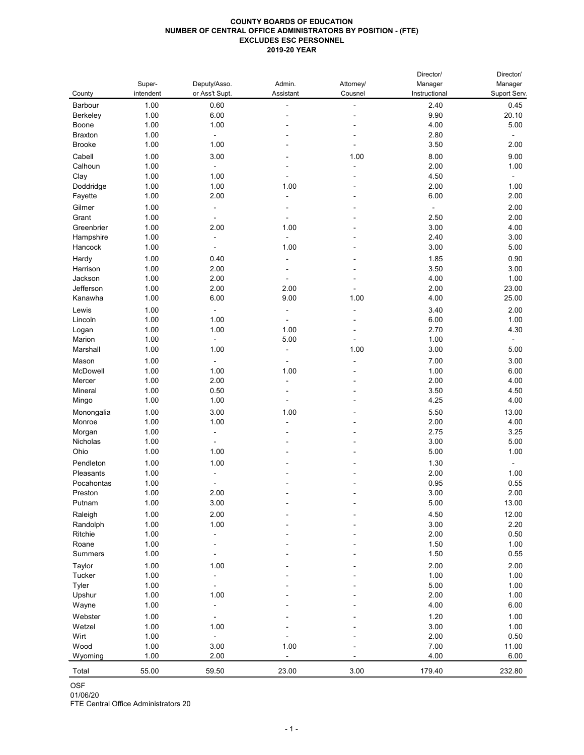## **COUNTY BOARDS OF EDUCATION NUMBER OF CENTRAL OFFICE ADMINISTRATORS BY POSITION - (FTE) EXCLUDES ESC PERSONNEL 2019-20 YEAR**

| intendent<br>or Ass't Supt.<br>Assistant<br>Cousnel<br>Instructional<br>Suport Serv.<br>County<br>1.00<br>0.60<br>0.45<br>Barbour<br>2.40<br>$\blacksquare$<br>6.00<br>1.00<br>9.90<br>20.10<br><b>Berkeley</b><br>1.00<br>4.00<br>1.00<br>5.00<br>Boone<br>2.80<br>1.00<br><b>Braxton</b><br>$\sim$<br>1.00<br>1.00<br>3.50<br><b>Brooke</b><br>2.00<br>$\overline{\phantom{a}}$<br>3.00<br>8.00<br>1.00<br>1.00<br>9.00<br>Cabell<br>2.00<br>Calhoun<br>1.00<br>1.00<br>$\blacksquare$<br>1.00<br>4.50<br>Clay<br>1.00<br>$\overline{\phantom{a}}$<br>1.00<br>1.00<br>2.00<br>Doddridge<br>1.00<br>1.00<br>2.00<br>6.00<br>Fayette<br>1.00<br>2.00<br>Gilmer<br>1.00<br>2.00<br>$\blacksquare$<br>$\blacksquare$<br>1.00<br>2.50<br>Grant<br>2.00<br>$\overline{\phantom{a}}$<br>3.00<br>Greenbrier<br>1.00<br>2.00<br>1.00<br>4.00<br>1.00<br>2.40<br>3.00<br>Hampshire<br>$\blacksquare$<br>3.00<br>1.00<br>1.00<br>5.00<br>Hancock<br>1.00<br>1.85<br>0.90<br>0.40<br>Hardy<br>$\blacksquare$<br>2.00<br>1.00<br>3.50<br>3.00<br>Harrison<br>2.00<br>4.00<br>Jackson<br>1.00<br>1.00<br>Jefferson<br>1.00<br>2.00<br>2.00<br>2.00<br>23.00<br>6.00<br>9.00<br>4.00<br>25.00<br>Kanawha<br>1.00<br>1.00<br>Lewis<br>1.00<br>3.40<br>2.00<br>1.00<br>1.00<br>6.00<br>1.00<br>Lincoln<br>$\blacksquare$<br>1.00<br>1.00<br>2.70<br>1.00<br>4.30<br>Logan<br>5.00<br>1.00<br>1.00<br>Marion<br>1.00<br>1.00<br>3.00<br>Marshall<br>1.00<br>5.00<br>7.00<br>1.00<br>3.00<br>Mason<br>McDowell<br>1.00<br>1.00<br>1.00<br>1.00<br>6.00<br>1.00<br>2.00<br>2.00<br>4.00<br>Mercer<br>$\blacksquare$<br>0.50<br>3.50<br>1.00<br>4.50<br>Mineral<br>1.00<br>1.00<br>4.25<br>Mingo<br>4.00<br>1.00<br>3.00<br>5.50<br>13.00<br>1.00<br>Monongalia<br>2.00<br>1.00<br>1.00<br>4.00<br>Monroe<br>1.00<br>2.75<br>3.25<br>Morgan<br>3.00<br>1.00<br>5.00<br>Nicholas<br>1.00<br>5.00<br>Ohio<br>1.00<br>1.00<br>Pendleton<br>1.00<br>1.00<br>1.30<br>2.00<br>1.00<br>1.00<br>Pleasants<br>0.95<br>Pocahontas<br>1.00<br>0.55<br>3.00<br>Preston<br>1.00<br>2.00<br>2.00<br>1.00<br>3.00<br>5.00<br>13.00<br>Putnam<br>2.00<br>4.50<br>12.00<br>Raleigh<br>1.00<br>3.00<br>1.00<br>1.00<br>2.20<br>Randolph<br>Ritchie<br>1.00<br>2.00<br>0.50<br>1.00<br>1.50<br>1.00<br>Roane<br>1.00<br>1.50<br>0.55<br><b>Summers</b><br>2.00<br>Taylor<br>1.00<br>2.00<br>1.00<br>1.00<br>1.00<br>1.00<br>Tucker<br>5.00<br>1.00<br>1.00<br>Tyler<br>1.00<br>2.00<br>1.00<br>1.00<br>Upshur<br>1.00<br>4.00<br>6.00<br>Wayne<br>1.00<br>1.20<br>1.00<br>Webster<br>1.00<br>3.00<br>1.00<br>1.00<br>Wetzel<br>1.00<br>2.00<br>Wirt<br>0.50<br>Wood<br>1.00<br>1.00<br>7.00<br>11.00<br>3.00<br>1.00<br>2.00<br>4.00<br>6.00<br>Wyoming<br>55.00<br>59.50<br>23.00<br>179.40<br>232.80<br>3.00<br>Total<br><b>OSF</b> | Super- | Deputy/Asso. | Admin. | Attorney/ | Director/<br>Manager | Director/<br>Manager |
|-------------------------------------------------------------------------------------------------------------------------------------------------------------------------------------------------------------------------------------------------------------------------------------------------------------------------------------------------------------------------------------------------------------------------------------------------------------------------------------------------------------------------------------------------------------------------------------------------------------------------------------------------------------------------------------------------------------------------------------------------------------------------------------------------------------------------------------------------------------------------------------------------------------------------------------------------------------------------------------------------------------------------------------------------------------------------------------------------------------------------------------------------------------------------------------------------------------------------------------------------------------------------------------------------------------------------------------------------------------------------------------------------------------------------------------------------------------------------------------------------------------------------------------------------------------------------------------------------------------------------------------------------------------------------------------------------------------------------------------------------------------------------------------------------------------------------------------------------------------------------------------------------------------------------------------------------------------------------------------------------------------------------------------------------------------------------------------------------------------------------------------------------------------------------------------------------------------------------------------------------------------------------------------------------------------------------------------------------------------------------------------------------------------------------------------------------------------------------------------------------------------------------------------------------------------------------------------------------------------------------------------------------------------------------------------------------------------------------------------------------------------------------------------------------|--------|--------------|--------|-----------|----------------------|----------------------|
|                                                                                                                                                                                                                                                                                                                                                                                                                                                                                                                                                                                                                                                                                                                                                                                                                                                                                                                                                                                                                                                                                                                                                                                                                                                                                                                                                                                                                                                                                                                                                                                                                                                                                                                                                                                                                                                                                                                                                                                                                                                                                                                                                                                                                                                                                                                                                                                                                                                                                                                                                                                                                                                                                                                                                                                                 |        |              |        |           |                      |                      |
|                                                                                                                                                                                                                                                                                                                                                                                                                                                                                                                                                                                                                                                                                                                                                                                                                                                                                                                                                                                                                                                                                                                                                                                                                                                                                                                                                                                                                                                                                                                                                                                                                                                                                                                                                                                                                                                                                                                                                                                                                                                                                                                                                                                                                                                                                                                                                                                                                                                                                                                                                                                                                                                                                                                                                                                                 |        |              |        |           |                      |                      |
|                                                                                                                                                                                                                                                                                                                                                                                                                                                                                                                                                                                                                                                                                                                                                                                                                                                                                                                                                                                                                                                                                                                                                                                                                                                                                                                                                                                                                                                                                                                                                                                                                                                                                                                                                                                                                                                                                                                                                                                                                                                                                                                                                                                                                                                                                                                                                                                                                                                                                                                                                                                                                                                                                                                                                                                                 |        |              |        |           |                      |                      |
|                                                                                                                                                                                                                                                                                                                                                                                                                                                                                                                                                                                                                                                                                                                                                                                                                                                                                                                                                                                                                                                                                                                                                                                                                                                                                                                                                                                                                                                                                                                                                                                                                                                                                                                                                                                                                                                                                                                                                                                                                                                                                                                                                                                                                                                                                                                                                                                                                                                                                                                                                                                                                                                                                                                                                                                                 |        |              |        |           |                      |                      |
|                                                                                                                                                                                                                                                                                                                                                                                                                                                                                                                                                                                                                                                                                                                                                                                                                                                                                                                                                                                                                                                                                                                                                                                                                                                                                                                                                                                                                                                                                                                                                                                                                                                                                                                                                                                                                                                                                                                                                                                                                                                                                                                                                                                                                                                                                                                                                                                                                                                                                                                                                                                                                                                                                                                                                                                                 |        |              |        |           |                      |                      |
|                                                                                                                                                                                                                                                                                                                                                                                                                                                                                                                                                                                                                                                                                                                                                                                                                                                                                                                                                                                                                                                                                                                                                                                                                                                                                                                                                                                                                                                                                                                                                                                                                                                                                                                                                                                                                                                                                                                                                                                                                                                                                                                                                                                                                                                                                                                                                                                                                                                                                                                                                                                                                                                                                                                                                                                                 |        |              |        |           |                      |                      |
|                                                                                                                                                                                                                                                                                                                                                                                                                                                                                                                                                                                                                                                                                                                                                                                                                                                                                                                                                                                                                                                                                                                                                                                                                                                                                                                                                                                                                                                                                                                                                                                                                                                                                                                                                                                                                                                                                                                                                                                                                                                                                                                                                                                                                                                                                                                                                                                                                                                                                                                                                                                                                                                                                                                                                                                                 |        |              |        |           |                      |                      |
|                                                                                                                                                                                                                                                                                                                                                                                                                                                                                                                                                                                                                                                                                                                                                                                                                                                                                                                                                                                                                                                                                                                                                                                                                                                                                                                                                                                                                                                                                                                                                                                                                                                                                                                                                                                                                                                                                                                                                                                                                                                                                                                                                                                                                                                                                                                                                                                                                                                                                                                                                                                                                                                                                                                                                                                                 |        |              |        |           |                      |                      |
|                                                                                                                                                                                                                                                                                                                                                                                                                                                                                                                                                                                                                                                                                                                                                                                                                                                                                                                                                                                                                                                                                                                                                                                                                                                                                                                                                                                                                                                                                                                                                                                                                                                                                                                                                                                                                                                                                                                                                                                                                                                                                                                                                                                                                                                                                                                                                                                                                                                                                                                                                                                                                                                                                                                                                                                                 |        |              |        |           |                      |                      |
|                                                                                                                                                                                                                                                                                                                                                                                                                                                                                                                                                                                                                                                                                                                                                                                                                                                                                                                                                                                                                                                                                                                                                                                                                                                                                                                                                                                                                                                                                                                                                                                                                                                                                                                                                                                                                                                                                                                                                                                                                                                                                                                                                                                                                                                                                                                                                                                                                                                                                                                                                                                                                                                                                                                                                                                                 |        |              |        |           |                      |                      |
|                                                                                                                                                                                                                                                                                                                                                                                                                                                                                                                                                                                                                                                                                                                                                                                                                                                                                                                                                                                                                                                                                                                                                                                                                                                                                                                                                                                                                                                                                                                                                                                                                                                                                                                                                                                                                                                                                                                                                                                                                                                                                                                                                                                                                                                                                                                                                                                                                                                                                                                                                                                                                                                                                                                                                                                                 |        |              |        |           |                      |                      |
|                                                                                                                                                                                                                                                                                                                                                                                                                                                                                                                                                                                                                                                                                                                                                                                                                                                                                                                                                                                                                                                                                                                                                                                                                                                                                                                                                                                                                                                                                                                                                                                                                                                                                                                                                                                                                                                                                                                                                                                                                                                                                                                                                                                                                                                                                                                                                                                                                                                                                                                                                                                                                                                                                                                                                                                                 |        |              |        |           |                      |                      |
|                                                                                                                                                                                                                                                                                                                                                                                                                                                                                                                                                                                                                                                                                                                                                                                                                                                                                                                                                                                                                                                                                                                                                                                                                                                                                                                                                                                                                                                                                                                                                                                                                                                                                                                                                                                                                                                                                                                                                                                                                                                                                                                                                                                                                                                                                                                                                                                                                                                                                                                                                                                                                                                                                                                                                                                                 |        |              |        |           |                      |                      |
|                                                                                                                                                                                                                                                                                                                                                                                                                                                                                                                                                                                                                                                                                                                                                                                                                                                                                                                                                                                                                                                                                                                                                                                                                                                                                                                                                                                                                                                                                                                                                                                                                                                                                                                                                                                                                                                                                                                                                                                                                                                                                                                                                                                                                                                                                                                                                                                                                                                                                                                                                                                                                                                                                                                                                                                                 |        |              |        |           |                      |                      |
|                                                                                                                                                                                                                                                                                                                                                                                                                                                                                                                                                                                                                                                                                                                                                                                                                                                                                                                                                                                                                                                                                                                                                                                                                                                                                                                                                                                                                                                                                                                                                                                                                                                                                                                                                                                                                                                                                                                                                                                                                                                                                                                                                                                                                                                                                                                                                                                                                                                                                                                                                                                                                                                                                                                                                                                                 |        |              |        |           |                      |                      |
|                                                                                                                                                                                                                                                                                                                                                                                                                                                                                                                                                                                                                                                                                                                                                                                                                                                                                                                                                                                                                                                                                                                                                                                                                                                                                                                                                                                                                                                                                                                                                                                                                                                                                                                                                                                                                                                                                                                                                                                                                                                                                                                                                                                                                                                                                                                                                                                                                                                                                                                                                                                                                                                                                                                                                                                                 |        |              |        |           |                      |                      |
|                                                                                                                                                                                                                                                                                                                                                                                                                                                                                                                                                                                                                                                                                                                                                                                                                                                                                                                                                                                                                                                                                                                                                                                                                                                                                                                                                                                                                                                                                                                                                                                                                                                                                                                                                                                                                                                                                                                                                                                                                                                                                                                                                                                                                                                                                                                                                                                                                                                                                                                                                                                                                                                                                                                                                                                                 |        |              |        |           |                      |                      |
|                                                                                                                                                                                                                                                                                                                                                                                                                                                                                                                                                                                                                                                                                                                                                                                                                                                                                                                                                                                                                                                                                                                                                                                                                                                                                                                                                                                                                                                                                                                                                                                                                                                                                                                                                                                                                                                                                                                                                                                                                                                                                                                                                                                                                                                                                                                                                                                                                                                                                                                                                                                                                                                                                                                                                                                                 |        |              |        |           |                      |                      |
|                                                                                                                                                                                                                                                                                                                                                                                                                                                                                                                                                                                                                                                                                                                                                                                                                                                                                                                                                                                                                                                                                                                                                                                                                                                                                                                                                                                                                                                                                                                                                                                                                                                                                                                                                                                                                                                                                                                                                                                                                                                                                                                                                                                                                                                                                                                                                                                                                                                                                                                                                                                                                                                                                                                                                                                                 |        |              |        |           |                      |                      |
|                                                                                                                                                                                                                                                                                                                                                                                                                                                                                                                                                                                                                                                                                                                                                                                                                                                                                                                                                                                                                                                                                                                                                                                                                                                                                                                                                                                                                                                                                                                                                                                                                                                                                                                                                                                                                                                                                                                                                                                                                                                                                                                                                                                                                                                                                                                                                                                                                                                                                                                                                                                                                                                                                                                                                                                                 |        |              |        |           |                      |                      |
|                                                                                                                                                                                                                                                                                                                                                                                                                                                                                                                                                                                                                                                                                                                                                                                                                                                                                                                                                                                                                                                                                                                                                                                                                                                                                                                                                                                                                                                                                                                                                                                                                                                                                                                                                                                                                                                                                                                                                                                                                                                                                                                                                                                                                                                                                                                                                                                                                                                                                                                                                                                                                                                                                                                                                                                                 |        |              |        |           |                      |                      |
|                                                                                                                                                                                                                                                                                                                                                                                                                                                                                                                                                                                                                                                                                                                                                                                                                                                                                                                                                                                                                                                                                                                                                                                                                                                                                                                                                                                                                                                                                                                                                                                                                                                                                                                                                                                                                                                                                                                                                                                                                                                                                                                                                                                                                                                                                                                                                                                                                                                                                                                                                                                                                                                                                                                                                                                                 |        |              |        |           |                      |                      |
|                                                                                                                                                                                                                                                                                                                                                                                                                                                                                                                                                                                                                                                                                                                                                                                                                                                                                                                                                                                                                                                                                                                                                                                                                                                                                                                                                                                                                                                                                                                                                                                                                                                                                                                                                                                                                                                                                                                                                                                                                                                                                                                                                                                                                                                                                                                                                                                                                                                                                                                                                                                                                                                                                                                                                                                                 |        |              |        |           |                      |                      |
|                                                                                                                                                                                                                                                                                                                                                                                                                                                                                                                                                                                                                                                                                                                                                                                                                                                                                                                                                                                                                                                                                                                                                                                                                                                                                                                                                                                                                                                                                                                                                                                                                                                                                                                                                                                                                                                                                                                                                                                                                                                                                                                                                                                                                                                                                                                                                                                                                                                                                                                                                                                                                                                                                                                                                                                                 |        |              |        |           |                      |                      |
|                                                                                                                                                                                                                                                                                                                                                                                                                                                                                                                                                                                                                                                                                                                                                                                                                                                                                                                                                                                                                                                                                                                                                                                                                                                                                                                                                                                                                                                                                                                                                                                                                                                                                                                                                                                                                                                                                                                                                                                                                                                                                                                                                                                                                                                                                                                                                                                                                                                                                                                                                                                                                                                                                                                                                                                                 |        |              |        |           |                      |                      |
|                                                                                                                                                                                                                                                                                                                                                                                                                                                                                                                                                                                                                                                                                                                                                                                                                                                                                                                                                                                                                                                                                                                                                                                                                                                                                                                                                                                                                                                                                                                                                                                                                                                                                                                                                                                                                                                                                                                                                                                                                                                                                                                                                                                                                                                                                                                                                                                                                                                                                                                                                                                                                                                                                                                                                                                                 |        |              |        |           |                      |                      |
|                                                                                                                                                                                                                                                                                                                                                                                                                                                                                                                                                                                                                                                                                                                                                                                                                                                                                                                                                                                                                                                                                                                                                                                                                                                                                                                                                                                                                                                                                                                                                                                                                                                                                                                                                                                                                                                                                                                                                                                                                                                                                                                                                                                                                                                                                                                                                                                                                                                                                                                                                                                                                                                                                                                                                                                                 |        |              |        |           |                      |                      |
|                                                                                                                                                                                                                                                                                                                                                                                                                                                                                                                                                                                                                                                                                                                                                                                                                                                                                                                                                                                                                                                                                                                                                                                                                                                                                                                                                                                                                                                                                                                                                                                                                                                                                                                                                                                                                                                                                                                                                                                                                                                                                                                                                                                                                                                                                                                                                                                                                                                                                                                                                                                                                                                                                                                                                                                                 |        |              |        |           |                      |                      |
|                                                                                                                                                                                                                                                                                                                                                                                                                                                                                                                                                                                                                                                                                                                                                                                                                                                                                                                                                                                                                                                                                                                                                                                                                                                                                                                                                                                                                                                                                                                                                                                                                                                                                                                                                                                                                                                                                                                                                                                                                                                                                                                                                                                                                                                                                                                                                                                                                                                                                                                                                                                                                                                                                                                                                                                                 |        |              |        |           |                      |                      |
|                                                                                                                                                                                                                                                                                                                                                                                                                                                                                                                                                                                                                                                                                                                                                                                                                                                                                                                                                                                                                                                                                                                                                                                                                                                                                                                                                                                                                                                                                                                                                                                                                                                                                                                                                                                                                                                                                                                                                                                                                                                                                                                                                                                                                                                                                                                                                                                                                                                                                                                                                                                                                                                                                                                                                                                                 |        |              |        |           |                      |                      |
|                                                                                                                                                                                                                                                                                                                                                                                                                                                                                                                                                                                                                                                                                                                                                                                                                                                                                                                                                                                                                                                                                                                                                                                                                                                                                                                                                                                                                                                                                                                                                                                                                                                                                                                                                                                                                                                                                                                                                                                                                                                                                                                                                                                                                                                                                                                                                                                                                                                                                                                                                                                                                                                                                                                                                                                                 |        |              |        |           |                      |                      |
|                                                                                                                                                                                                                                                                                                                                                                                                                                                                                                                                                                                                                                                                                                                                                                                                                                                                                                                                                                                                                                                                                                                                                                                                                                                                                                                                                                                                                                                                                                                                                                                                                                                                                                                                                                                                                                                                                                                                                                                                                                                                                                                                                                                                                                                                                                                                                                                                                                                                                                                                                                                                                                                                                                                                                                                                 |        |              |        |           |                      |                      |
|                                                                                                                                                                                                                                                                                                                                                                                                                                                                                                                                                                                                                                                                                                                                                                                                                                                                                                                                                                                                                                                                                                                                                                                                                                                                                                                                                                                                                                                                                                                                                                                                                                                                                                                                                                                                                                                                                                                                                                                                                                                                                                                                                                                                                                                                                                                                                                                                                                                                                                                                                                                                                                                                                                                                                                                                 |        |              |        |           |                      |                      |
|                                                                                                                                                                                                                                                                                                                                                                                                                                                                                                                                                                                                                                                                                                                                                                                                                                                                                                                                                                                                                                                                                                                                                                                                                                                                                                                                                                                                                                                                                                                                                                                                                                                                                                                                                                                                                                                                                                                                                                                                                                                                                                                                                                                                                                                                                                                                                                                                                                                                                                                                                                                                                                                                                                                                                                                                 |        |              |        |           |                      |                      |
|                                                                                                                                                                                                                                                                                                                                                                                                                                                                                                                                                                                                                                                                                                                                                                                                                                                                                                                                                                                                                                                                                                                                                                                                                                                                                                                                                                                                                                                                                                                                                                                                                                                                                                                                                                                                                                                                                                                                                                                                                                                                                                                                                                                                                                                                                                                                                                                                                                                                                                                                                                                                                                                                                                                                                                                                 |        |              |        |           |                      |                      |
|                                                                                                                                                                                                                                                                                                                                                                                                                                                                                                                                                                                                                                                                                                                                                                                                                                                                                                                                                                                                                                                                                                                                                                                                                                                                                                                                                                                                                                                                                                                                                                                                                                                                                                                                                                                                                                                                                                                                                                                                                                                                                                                                                                                                                                                                                                                                                                                                                                                                                                                                                                                                                                                                                                                                                                                                 |        |              |        |           |                      |                      |
|                                                                                                                                                                                                                                                                                                                                                                                                                                                                                                                                                                                                                                                                                                                                                                                                                                                                                                                                                                                                                                                                                                                                                                                                                                                                                                                                                                                                                                                                                                                                                                                                                                                                                                                                                                                                                                                                                                                                                                                                                                                                                                                                                                                                                                                                                                                                                                                                                                                                                                                                                                                                                                                                                                                                                                                                 |        |              |        |           |                      |                      |
|                                                                                                                                                                                                                                                                                                                                                                                                                                                                                                                                                                                                                                                                                                                                                                                                                                                                                                                                                                                                                                                                                                                                                                                                                                                                                                                                                                                                                                                                                                                                                                                                                                                                                                                                                                                                                                                                                                                                                                                                                                                                                                                                                                                                                                                                                                                                                                                                                                                                                                                                                                                                                                                                                                                                                                                                 |        |              |        |           |                      |                      |
|                                                                                                                                                                                                                                                                                                                                                                                                                                                                                                                                                                                                                                                                                                                                                                                                                                                                                                                                                                                                                                                                                                                                                                                                                                                                                                                                                                                                                                                                                                                                                                                                                                                                                                                                                                                                                                                                                                                                                                                                                                                                                                                                                                                                                                                                                                                                                                                                                                                                                                                                                                                                                                                                                                                                                                                                 |        |              |        |           |                      |                      |
|                                                                                                                                                                                                                                                                                                                                                                                                                                                                                                                                                                                                                                                                                                                                                                                                                                                                                                                                                                                                                                                                                                                                                                                                                                                                                                                                                                                                                                                                                                                                                                                                                                                                                                                                                                                                                                                                                                                                                                                                                                                                                                                                                                                                                                                                                                                                                                                                                                                                                                                                                                                                                                                                                                                                                                                                 |        |              |        |           |                      |                      |
|                                                                                                                                                                                                                                                                                                                                                                                                                                                                                                                                                                                                                                                                                                                                                                                                                                                                                                                                                                                                                                                                                                                                                                                                                                                                                                                                                                                                                                                                                                                                                                                                                                                                                                                                                                                                                                                                                                                                                                                                                                                                                                                                                                                                                                                                                                                                                                                                                                                                                                                                                                                                                                                                                                                                                                                                 |        |              |        |           |                      |                      |
|                                                                                                                                                                                                                                                                                                                                                                                                                                                                                                                                                                                                                                                                                                                                                                                                                                                                                                                                                                                                                                                                                                                                                                                                                                                                                                                                                                                                                                                                                                                                                                                                                                                                                                                                                                                                                                                                                                                                                                                                                                                                                                                                                                                                                                                                                                                                                                                                                                                                                                                                                                                                                                                                                                                                                                                                 |        |              |        |           |                      |                      |
|                                                                                                                                                                                                                                                                                                                                                                                                                                                                                                                                                                                                                                                                                                                                                                                                                                                                                                                                                                                                                                                                                                                                                                                                                                                                                                                                                                                                                                                                                                                                                                                                                                                                                                                                                                                                                                                                                                                                                                                                                                                                                                                                                                                                                                                                                                                                                                                                                                                                                                                                                                                                                                                                                                                                                                                                 |        |              |        |           |                      |                      |
|                                                                                                                                                                                                                                                                                                                                                                                                                                                                                                                                                                                                                                                                                                                                                                                                                                                                                                                                                                                                                                                                                                                                                                                                                                                                                                                                                                                                                                                                                                                                                                                                                                                                                                                                                                                                                                                                                                                                                                                                                                                                                                                                                                                                                                                                                                                                                                                                                                                                                                                                                                                                                                                                                                                                                                                                 |        |              |        |           |                      |                      |
|                                                                                                                                                                                                                                                                                                                                                                                                                                                                                                                                                                                                                                                                                                                                                                                                                                                                                                                                                                                                                                                                                                                                                                                                                                                                                                                                                                                                                                                                                                                                                                                                                                                                                                                                                                                                                                                                                                                                                                                                                                                                                                                                                                                                                                                                                                                                                                                                                                                                                                                                                                                                                                                                                                                                                                                                 |        |              |        |           |                      |                      |
|                                                                                                                                                                                                                                                                                                                                                                                                                                                                                                                                                                                                                                                                                                                                                                                                                                                                                                                                                                                                                                                                                                                                                                                                                                                                                                                                                                                                                                                                                                                                                                                                                                                                                                                                                                                                                                                                                                                                                                                                                                                                                                                                                                                                                                                                                                                                                                                                                                                                                                                                                                                                                                                                                                                                                                                                 |        |              |        |           |                      |                      |
|                                                                                                                                                                                                                                                                                                                                                                                                                                                                                                                                                                                                                                                                                                                                                                                                                                                                                                                                                                                                                                                                                                                                                                                                                                                                                                                                                                                                                                                                                                                                                                                                                                                                                                                                                                                                                                                                                                                                                                                                                                                                                                                                                                                                                                                                                                                                                                                                                                                                                                                                                                                                                                                                                                                                                                                                 |        |              |        |           |                      |                      |
|                                                                                                                                                                                                                                                                                                                                                                                                                                                                                                                                                                                                                                                                                                                                                                                                                                                                                                                                                                                                                                                                                                                                                                                                                                                                                                                                                                                                                                                                                                                                                                                                                                                                                                                                                                                                                                                                                                                                                                                                                                                                                                                                                                                                                                                                                                                                                                                                                                                                                                                                                                                                                                                                                                                                                                                                 |        |              |        |           |                      |                      |
|                                                                                                                                                                                                                                                                                                                                                                                                                                                                                                                                                                                                                                                                                                                                                                                                                                                                                                                                                                                                                                                                                                                                                                                                                                                                                                                                                                                                                                                                                                                                                                                                                                                                                                                                                                                                                                                                                                                                                                                                                                                                                                                                                                                                                                                                                                                                                                                                                                                                                                                                                                                                                                                                                                                                                                                                 |        |              |        |           |                      |                      |
|                                                                                                                                                                                                                                                                                                                                                                                                                                                                                                                                                                                                                                                                                                                                                                                                                                                                                                                                                                                                                                                                                                                                                                                                                                                                                                                                                                                                                                                                                                                                                                                                                                                                                                                                                                                                                                                                                                                                                                                                                                                                                                                                                                                                                                                                                                                                                                                                                                                                                                                                                                                                                                                                                                                                                                                                 |        |              |        |           |                      |                      |
|                                                                                                                                                                                                                                                                                                                                                                                                                                                                                                                                                                                                                                                                                                                                                                                                                                                                                                                                                                                                                                                                                                                                                                                                                                                                                                                                                                                                                                                                                                                                                                                                                                                                                                                                                                                                                                                                                                                                                                                                                                                                                                                                                                                                                                                                                                                                                                                                                                                                                                                                                                                                                                                                                                                                                                                                 |        |              |        |           |                      |                      |
|                                                                                                                                                                                                                                                                                                                                                                                                                                                                                                                                                                                                                                                                                                                                                                                                                                                                                                                                                                                                                                                                                                                                                                                                                                                                                                                                                                                                                                                                                                                                                                                                                                                                                                                                                                                                                                                                                                                                                                                                                                                                                                                                                                                                                                                                                                                                                                                                                                                                                                                                                                                                                                                                                                                                                                                                 |        |              |        |           |                      |                      |
|                                                                                                                                                                                                                                                                                                                                                                                                                                                                                                                                                                                                                                                                                                                                                                                                                                                                                                                                                                                                                                                                                                                                                                                                                                                                                                                                                                                                                                                                                                                                                                                                                                                                                                                                                                                                                                                                                                                                                                                                                                                                                                                                                                                                                                                                                                                                                                                                                                                                                                                                                                                                                                                                                                                                                                                                 |        |              |        |           |                      |                      |
|                                                                                                                                                                                                                                                                                                                                                                                                                                                                                                                                                                                                                                                                                                                                                                                                                                                                                                                                                                                                                                                                                                                                                                                                                                                                                                                                                                                                                                                                                                                                                                                                                                                                                                                                                                                                                                                                                                                                                                                                                                                                                                                                                                                                                                                                                                                                                                                                                                                                                                                                                                                                                                                                                                                                                                                                 |        |              |        |           |                      |                      |
|                                                                                                                                                                                                                                                                                                                                                                                                                                                                                                                                                                                                                                                                                                                                                                                                                                                                                                                                                                                                                                                                                                                                                                                                                                                                                                                                                                                                                                                                                                                                                                                                                                                                                                                                                                                                                                                                                                                                                                                                                                                                                                                                                                                                                                                                                                                                                                                                                                                                                                                                                                                                                                                                                                                                                                                                 |        |              |        |           |                      |                      |
|                                                                                                                                                                                                                                                                                                                                                                                                                                                                                                                                                                                                                                                                                                                                                                                                                                                                                                                                                                                                                                                                                                                                                                                                                                                                                                                                                                                                                                                                                                                                                                                                                                                                                                                                                                                                                                                                                                                                                                                                                                                                                                                                                                                                                                                                                                                                                                                                                                                                                                                                                                                                                                                                                                                                                                                                 |        |              |        |           |                      |                      |

01/06/20 FTE Central Office Administrators 20